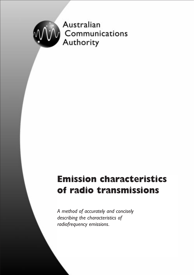

# **Emission characteristics of radio transmissions**

*A method of accurately and concisely describing the characteristics of radiofrequency emissions.*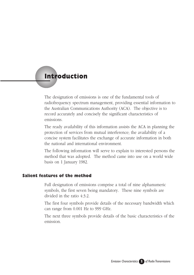# **Introduction**

The designation of emissions is one of the fundamental tools of radiofrequency spectrum management, providing essential information to the Australian Communications Authority (ACA). The objective is to record accurately and concisely the significant characteristics of emissions.

The ready availability of this information assists the ACA in planning the protection of services from mutual interference; the availability of a concise system facilitates the exchange of accurate information in both the national and international environment.

The following information will serve to explain to interested persons the method that was adopted. The method came into use on a world wide basis on 1 January 1982.

#### **Salient features of the method**

Full designation of emissions comprise a total of nine alphanumeric symbols, the first seven being mandatory. These nine symbols are divided in the ratio 4:3:2.

The first four symbols provide details of the necessary bandwidth which can range from 0.001 Hz to 999 GHz.

The next three symbols provide details of the basic characteristics of the emission.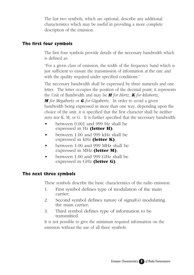The last two symbols, which are optional, describe any additional characteristics which may be useful in providing a more complete description of the emission.

# **The first four symbols**

The first four symbols provide details of the necessary bandwidth which is defined as:

"For a given class of emission, the width of the frequency band which is just sufficient to ensure the transmission of information at the rate and with the quality required under specified conditions."

The necessary bandwidth shall be expressed by three numerals and one letter. The letter occupies the position of the decimal point; it represents the Unit of Bandwidth and may be *H for Hertz*, *K for kilohertz*, *M for Megahertz* or *G for Gigahertz*. In order to avoid a given bandwidth being expressed in more than one way, depending upon the choice of the unit, it is specified that the first character shall be neither zero nor K, M, or G. It is further specified that the necessary bandwidth:

- between 0.001 and 999 Hz shall be expressed in Hz **(letter H)**;
- between 1.00 and 999 kHz shall be expressed in kHz **(letter K)**;
- between 1.00 and 999 MHz shall be expressed in MHz **(letter M)**;
- between 1.00 and 999 GHz shall be expressed in GHz **(letter G)**.

#### **The next three symbols**

These symbols describe the basic characteristics of the radio emission:

- 1. First symbol defines type of modulation of the main carrier;
- 2. Second symbol defines nature of signal(s) modulating the main carrier;
- 3. Third symbol defines type of information to be transmitted.

It is not possible to give the minimum required information on the emission without the use of all three symbols.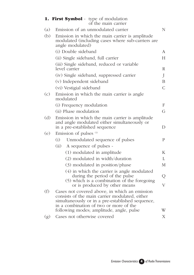|     | <b>1. First Symbol</b> - type of modulation<br>of the main carrier                                                                                                                            |                         |  |
|-----|-----------------------------------------------------------------------------------------------------------------------------------------------------------------------------------------------|-------------------------|--|
| (a) | Emission of an unmodulated carrier                                                                                                                                                            | N                       |  |
| (b) | Emission in which the main carrier is amplitude<br>modulated (including cases where sub-carriers are<br>angle modulated)                                                                      |                         |  |
|     | (i) Double sideband                                                                                                                                                                           | A                       |  |
|     | (ii) Single sideband, full carrier                                                                                                                                                            | $H_{\rm}$               |  |
|     | (iii) Single sideband, reduced or variable<br>level carrier                                                                                                                                   | R                       |  |
|     | (iv) Single sideband, suppressed carrier                                                                                                                                                      | J                       |  |
|     | (v) Independent sideband                                                                                                                                                                      | B                       |  |
|     | (vi) Vestigial sideband                                                                                                                                                                       | $\mathcal{C}$           |  |
| (c) | Emission in which the main carrier is angle<br>modulated                                                                                                                                      |                         |  |
|     | (i) Frequency modulation                                                                                                                                                                      | F                       |  |
|     | (ii) Phase modulation                                                                                                                                                                         | G                       |  |
| (d) | Emission in which the main carrier is amplitude<br>and angle modulated either simultaneously or<br>in a pre-established sequence<br>D                                                         |                         |  |
| (e) | Emission of pulses (1)                                                                                                                                                                        |                         |  |
|     | Unmodulated sequence of pulses<br>(i)                                                                                                                                                         | P                       |  |
|     | (ii) A sequence of pulses -                                                                                                                                                                   |                         |  |
|     | (1) modulated in amplitude                                                                                                                                                                    | Κ                       |  |
|     | (2) modulated in width/duration                                                                                                                                                               | L                       |  |
|     | (3) modulated in position/phase                                                                                                                                                               | М                       |  |
|     | (4) in which the carrier is angle modulated<br>during the period of the pulse<br>(5) which is a combination of the foregoing                                                                  | Q                       |  |
|     | or is produced by other means                                                                                                                                                                 | $\overline{\mathrm{V}}$ |  |
| (f) | Cases not covered above, in which an emission<br>consists of the main carrier modulated, either<br>simultaneously or in a pre-established sequence,<br>in a combination of two or more of the |                         |  |
|     | following modes; amplitude, angle, pulse                                                                                                                                                      | W                       |  |
| (g) | Cases not otherwise covered                                                                                                                                                                   | Χ                       |  |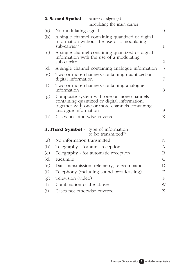| nature of signal $(s)$<br>2. Second Symbol - |                                                                                                                                                                          |                |  |
|----------------------------------------------|--------------------------------------------------------------------------------------------------------------------------------------------------------------------------|----------------|--|
|                                              | modulating the main carrier                                                                                                                                              | $\overline{0}$ |  |
| (a)                                          | No modulating signal                                                                                                                                                     |                |  |
| (b)                                          | A single channel containing quantized or digital<br>information without the use of a modulating<br>sub-carrier $^{(2)}$<br>$\mathbf{1}$                                  |                |  |
| (c)                                          | A single channel containing quantized or digital<br>information with the use of a modulating<br>sub-carrier<br>$\overline{2}$                                            |                |  |
| (d)                                          | $\overline{3}$<br>A single channel containing analogue information                                                                                                       |                |  |
| (e)                                          | Two or more channels containing quantized or<br>digital information<br>7                                                                                                 |                |  |
| (f)                                          | Two or more channels containing analogue<br>information<br>8                                                                                                             |                |  |
| (g)                                          | Composite system with one or more channels<br>containing quantized or digital information,<br>together with one or more channels containing<br>analogue information<br>9 |                |  |
| (h)                                          | Cases not otherwise covered<br>X                                                                                                                                         |                |  |
|                                              | <b>3. Third Symbol</b> - type of information<br>to be transmitted <sup>(3)</sup>                                                                                         |                |  |
| (a)                                          | No information transmitted                                                                                                                                               | $\mathbf N$    |  |
| (b)                                          | Telegraphy - for aural reception                                                                                                                                         | A              |  |
| (c)                                          | Telegraphy - for automatic reception<br>B                                                                                                                                |                |  |
| (d)                                          | Facsimile<br>$\mathsf{C}$                                                                                                                                                |                |  |
| (e)                                          | Data transmission, telemetry, telecommand                                                                                                                                | D              |  |
| (f)                                          | Telephony (including sound broadcasting)                                                                                                                                 | E              |  |
| (g)                                          | Television (video)<br>$\mathbf{F}$                                                                                                                                       |                |  |
| (h)                                          | Combination of the above                                                                                                                                                 | W              |  |
| (i)                                          | Cases not otherwise covered                                                                                                                                              | X              |  |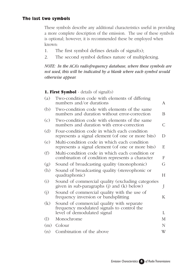### **The last two symbols**

These symbols describe any additional characteristics useful in providing a more complete description of the emission. The use of these symbols is optional; however, it is recommended these be employed when known:

- 1. The first symbol defines details of signal(s);
- 2. The second symbol defines nature of multiplexing.

*NOTE: In the ACA's radiofrequency database, where these symbols are not used, this will be indicated by a blank where each symbol would otherwise appear.*

#### **1. First Symbol** - details of signal(s)

| (a) | Two-condition code with elements of differing<br>numbers and/or durations                          | A              |
|-----|----------------------------------------------------------------------------------------------------|----------------|
| (b) | Two-condition code with elements of the same<br>numbers and duration without error-correction      | B.             |
| (c) | Two-condition code with elements of the same<br>numbers and duration with error-correction         | $\overline{C}$ |
| (d) | Four-condition code in which each condition<br>represents a signal element (of one or more bits)   |                |
| (e) | Multi-condition code in which each condition<br>represents a signal element (of one or more bits)  | E              |
| (f) | Multi-condition code in which each condition or<br>combination of condition represents a character |                |
| (g) | Sound of broadcasting quality (monophonic)                                                         | G              |
| (h) | Sound of broadcasting quality (stereophonic or<br>quadraphonic)                                    |                |
| (i) | Sound of commercial quality (excluding categories<br>given in sub-paragraphs (j) and (k) below)    | J              |
| (j) | Sound of commercial quality with the use of<br>frequency inversion or bandsplitting                | K              |
| (k) | Sound of commercial quality with separate<br>frequency modulated signals to control the            |                |
|     | level of demodulated signal                                                                        | L              |
| (1) | Monochrome                                                                                         | M              |
| (m) | Colour                                                                                             | N              |
| (n) | Combination of the above                                                                           | W              |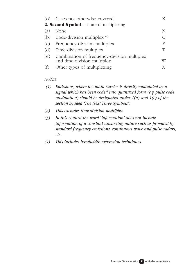|                                                  | (o) Cases not otherwise covered                                            |   |  |
|--------------------------------------------------|----------------------------------------------------------------------------|---|--|
| <b>2. Second Symbol</b> - nature of multiplexing |                                                                            |   |  |
| (a)                                              | None                                                                       |   |  |
| (b)                                              | Code-division multiplex $(4)$                                              |   |  |
| (c)                                              | Frequency-division multiplex                                               | F |  |
| (d)                                              | Time-division multiplex                                                    |   |  |
| (e)                                              | Combination of frequency-division multiplex<br>and time-division multiplex | W |  |
| (f)                                              | Other types of multiplexing                                                |   |  |

#### *NOTES*

- *(1) Emissions, where the main carrier is directly modulated by a signal which has been coded into quantized form (e.g. pulse code modulation) should be designated under 1(a) and 1(c) of the section headed "The Next Three Symbols".*
- *(2) This excludes time-division multiplex.*
- *(3) In this context the word "information" does not include information of a constant unvarying nature such as provided by standard frequency emissions, continuous wave and pulse radars, etc.*
- *(4) This includes bandwidth expansion techniques.*